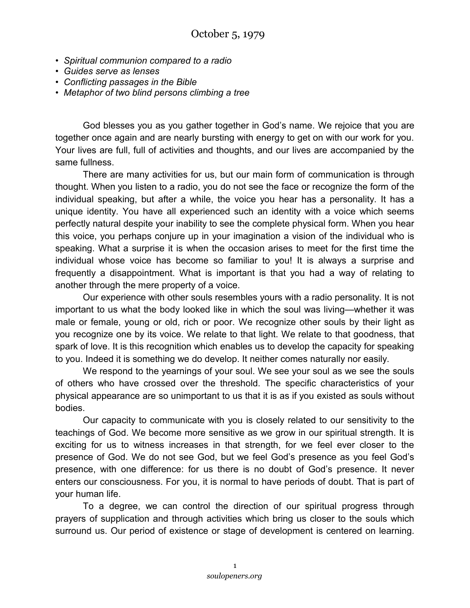- *Spiritual communion compared to a radio*
- *Guides serve as lenses*
- *Conflicting passages in the Bible*
- *Metaphor of two blind persons climbing a tree*

God blesses you as you gather together in God's name. We rejoice that you are together once again and are nearly bursting with energy to get on with our work for you. Your lives are full, full of activities and thoughts, and our lives are accompanied by the same fullness.

There are many activities for us, but our main form of communication is through thought. When you listen to a radio, you do not see the face or recognize the form of the individual speaking, but after a while, the voice you hear has a personality. It has a unique identity. You have all experienced such an identity with a voice which seems perfectly natural despite your inability to see the complete physical form. When you hear this voice, you perhaps conjure up in your imagination a vision of the individual who is speaking. What a surprise it is when the occasion arises to meet for the first time the individual whose voice has become so familiar to you! It is always a surprise and frequently a disappointment. What is important is that you had a way of relating to another through the mere property of a voice.

Our experience with other souls resembles yours with a radio personality. It is not important to us what the body looked like in which the soul was living—whether it was male or female, young or old, rich or poor. We recognize other souls by their light as you recognize one by its voice. We relate to that light. We relate to that goodness, that spark of love. It is this recognition which enables us to develop the capacity for speaking to you. Indeed it is something we do develop. It neither comes naturally nor easily.

We respond to the yearnings of your soul. We see your soul as we see the souls of others who have crossed over the threshold. The specific characteristics of your physical appearance are so unimportant to us that it is as if you existed as souls without bodies.

Our capacity to communicate with you is closely related to our sensitivity to the teachings of God. We become more sensitive as we grow in our spiritual strength. It is exciting for us to witness increases in that strength, for we feel ever closer to the presence of God. We do not see God, but we feel God's presence as you feel God's presence, with one difference: for us there is no doubt of God's presence. It never enters our consciousness. For you, it is normal to have periods of doubt. That is part of your human life.

To a degree, we can control the direction of our spiritual progress through prayers of supplication and through activities which bring us closer to the souls which surround us. Our period of existence or stage of development is centered on learning.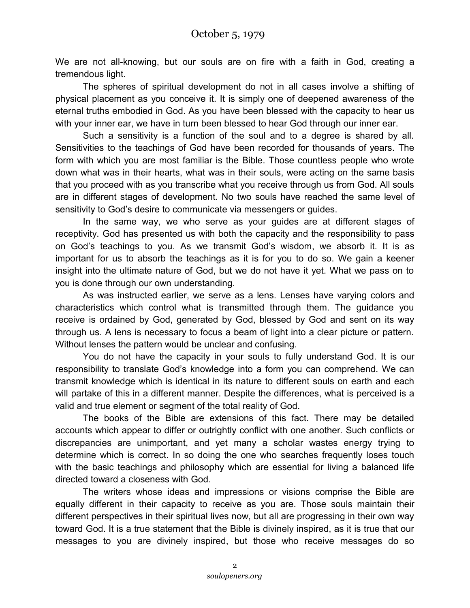We are not all-knowing, but our souls are on fire with a faith in God, creating a tremendous light.

The spheres of spiritual development do not in all cases involve a shifting of physical placement as you conceive it. It is simply one of deepened awareness of the eternal truths embodied in God. As you have been blessed with the capacity to hear us with your inner ear, we have in turn been blessed to hear God through our inner ear.

Such a sensitivity is a function of the soul and to a degree is shared by all. Sensitivities to the teachings of God have been recorded for thousands of years. The form with which you are most familiar is the Bible. Those countless people who wrote down what was in their hearts, what was in their souls, were acting on the same basis that you proceed with as you transcribe what you receive through us from God. All souls are in different stages of development. No two souls have reached the same level of sensitivity to God's desire to communicate via messengers or guides.

In the same way, we who serve as your guides are at different stages of receptivity. God has presented us with both the capacity and the responsibility to pass on God's teachings to you. As we transmit God's wisdom, we absorb it. It is as important for us to absorb the teachings as it is for you to do so. We gain a keener insight into the ultimate nature of God, but we do not have it yet. What we pass on to you is done through our own understanding.

As was instructed earlier, we serve as a lens. Lenses have varying colors and characteristics which control what is transmitted through them. The guidance you receive is ordained by God, generated by God, blessed by God and sent on its way through us. A lens is necessary to focus a beam of light into a clear picture or pattern. Without lenses the pattern would be unclear and confusing.

You do not have the capacity in your souls to fully understand God. It is our responsibility to translate God's knowledge into a form you can comprehend. We can transmit knowledge which is identical in its nature to different souls on earth and each will partake of this in a different manner. Despite the differences, what is perceived is a valid and true element or segment of the total reality of God.

The books of the Bible are extensions of this fact. There may be detailed accounts which appear to differ or outrightly conflict with one another. Such conflicts or discrepancies are unimportant, and yet many a scholar wastes energy trying to determine which is correct. In so doing the one who searches frequently loses touch with the basic teachings and philosophy which are essential for living a balanced life directed toward a closeness with God.

The writers whose ideas and impressions or visions comprise the Bible are equally different in their capacity to receive as you are. Those souls maintain their different perspectives in their spiritual lives now, but all are progressing in their own way toward God. It is a true statement that the Bible is divinely inspired, as it is true that our messages to you are divinely inspired, but those who receive messages do so